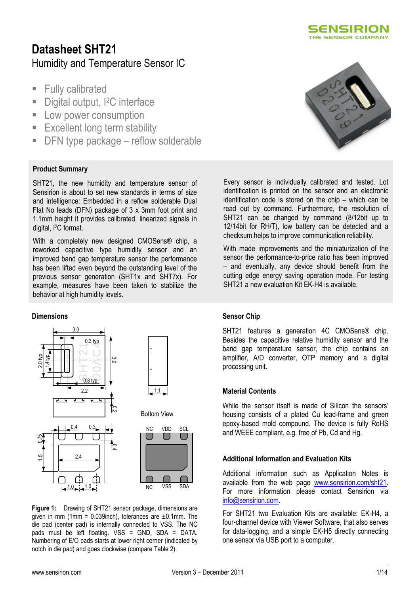

# **Datasheet SHT21**  Humidity and Temperature Sensor IC

- **Fully calibrated**
- Digital output, <sup>2</sup>C interface
- **Low power consumption**
- **Excellent long term stability**
- DFN type package reflow solderable

### **Product Summary**

SHT21, the new humidity and temperature sensor of Sensirion is about to set new standards in terms of size and intelligence: Embedded in a reflow solderable Dual Flat No leads (DFN) package of 3 x 3mm foot print and 1.1mm height it provides calibrated, linearized signals in digital, I2C format.

With a completely new designed CMOSens<sup>®</sup> chip, a reworked capacitive type humidity sensor and an improved band gap temperature sensor the performance has been lifted even beyond the outstanding level of the previous sensor generation (SHT1x and SHT7x). For example, measures have been taken to stabilize the behavior at high humidity levels.

### **Dimensions**



**Figure 1:** Drawing of SHT21 sensor package, dimensions are given in mm (1mm =  $0.039$ inch), tolerances are  $\pm 0.1$ mm. The die pad (center pad) is internally connected to VSS. The NC pads must be left floating. VSS = GND, SDA = DATA. Numbering of E/O pads starts at lower right corner (indicated by notch in die pad) and goes clockwise (compare Table 2).



Every sensor is individually calibrated and tested. Lot identification is printed on the sensor and an electronic identification code is stored on the chip – which can be read out by command. Furthermore, the resolution of SHT21 can be changed by command (8/12bit up to 12/14bit for RH/T), low battery can be detected and a checksum helps to improve communication reliability.

With made improvements and the miniaturization of the sensor the performance-to-price ratio has been improved – and eventually, any device should benefit from the cutting edge energy saving operation mode. For testing SHT21 a new evaluation Kit EK-H4 is available.

### **Sensor Chip**

SHT21 features a generation 4C CMOSens<sup>®</sup> chip. Besides the capacitive relative humidity sensor and the band gap temperature sensor, the chip contains an amplifier, A/D converter, OTP memory and a digital processing unit.

### **Material Contents**

While the sensor itself is made of Silicon the sensors' housing consists of a plated Cu lead-frame and green epoxy-based mold compound. The device is fully RoHS and WEEE compliant, e.g. free of Pb, Cd and Hg.

### **Additional Information and Evaluation Kits**

Additional information such as Application Notes is available from the web page www.sensirion.com/sht21. For more information please contact Sensirion via info@sensirion.com.

For SHT21 two Evaluation Kits are available: EK-H4, a four-channel device with Viewer Software, that also serves for data-logging, and a simple EK-H5 directly connecting one sensor via USB port to a computer.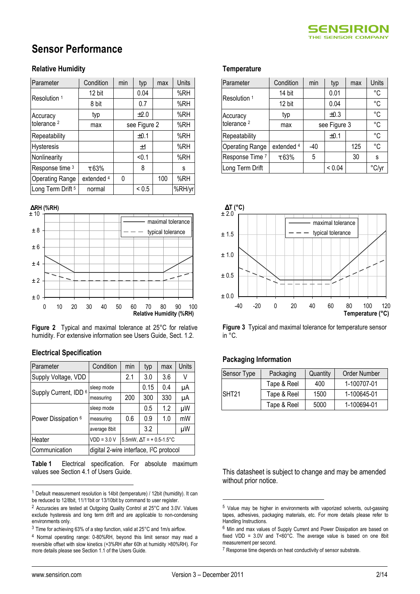# **Sensor Performance**

### **Relative Humidity**

| Parameter              | Condition  | min | typ          | max | Units  |
|------------------------|------------|-----|--------------|-----|--------|
| Resolution 1           | 12 bit     |     | 0.04         |     | %RH    |
|                        | 8 bit      |     | 0.7          |     | %RH    |
| Accuracy               | typ        |     | ±2.0         |     | %RH    |
| tolerance <sup>2</sup> | max        |     | see Figure 2 |     | %RH    |
| Repeatability          |            |     | ±0.1         |     | %RH    |
| Hysteresis             |            |     | ±1           |     | %RH    |
| Nonlinearity           |            |     | < 0.1        |     | %RH    |
| Response time 3        | $\tau$ 63% |     | 8            |     | s      |
| <b>Operating Range</b> | extended 4 | 0   |              | 100 | %RH    |
| Long Term Drift 5      | normal     |     | ${}_{0.5}$   |     | %RH/yr |



**Figure 2** Typical and maximal tolerance at 25°C for relative humidity. For extensive information see Users Guide, Sect. 1.2.

### **Electrical Specification**

| Parameter             | Condition                                           | min                                  | typ  | max | Units |
|-----------------------|-----------------------------------------------------|--------------------------------------|------|-----|-------|
| Supply Voltage, VDD   |                                                     | 2.1                                  | 3.0  | 3.6 | V     |
| Supply Current, IDD 6 | sleep mode                                          |                                      | 0.15 | 0.4 | μA    |
|                       | measuring                                           | 200                                  | 300  | 330 | μA    |
|                       | sleep mode                                          |                                      | 0.5  | 1.2 | μW    |
| Power Dissipation 6   | measuring                                           | 0.6                                  | 0.9  | 1.0 | mW    |
|                       | average 8bit                                        |                                      | 3.2  |     | μW    |
| Heater                | $VDD = 3.0 V$                                       | $5.5$ mW, $\Delta T = +0.5 - 1.5$ °C |      |     |       |
| Communication         | digital 2-wire interface, I <sup>2</sup> C protocol |                                      |      |     |       |

**Table 1** Electrical specification. For absolute maximum values see Section 4.1 of Users Guide.

### **Temperature<sup>567</sup>**

| Parameter               | Condition  | min          | typ    | max | Units       |
|-------------------------|------------|--------------|--------|-----|-------------|
| Resolution <sup>1</sup> | 14 bit     |              | 0.01   |     | °C          |
|                         | 12 bit     |              | 0.04   |     | $^{\circ}C$ |
| Accuracy                | typ        |              | ±0.3   |     | $^{\circ}C$ |
| tolerance <sup>2</sup>  | max        | see Figure 3 |        |     | $^{\circ}C$ |
| Repeatability           |            | ±0.1         |        |     | $^{\circ}C$ |
| <b>Operating Range</b>  | extended 4 | -40          |        | 125 | °C          |
| Response Time 7         | $\tau$ 63% | 5            |        | 30  | S           |
| Long Term Drift         |            |              | < 0.04 |     | °C/yr       |



**Figure 3** Typical and maximal tolerance for temperature sensor in °C.

### **Packaging Information**

| Sensor Type       | Packaging   | Quantity | Order Number |
|-------------------|-------------|----------|--------------|
|                   | Tape & Reel | 400      | 1-100707-01  |
| SHT <sub>21</sub> | Tape & Reel | 1500     | 1-100645-01  |
|                   | Tape & Reel | 5000     | 1-100694-01  |

This datasheet is subject to change and may be amended without prior notice.

 $\overline{a}$ 

<sup>1</sup> Default measurement resolution is 14bit (temperature) / 12bit (humidity). It can be reduced to 12/8bit, 11/11bit or 13/10bit by command to user register.

<sup>2</sup> Accuracies are tested at Outgoing Quality Control at 25°C and 3.0V. Values exclude hysteresis and long term drift and are applicable to non-condensing environments only.

<sup>3</sup> Time for achieving 63% of a step function, valid at 25°C and 1m/s airflow.

<sup>4</sup> Normal operating range: 0-80%RH, beyond this limit sensor may read a reversible offset with slow kinetics (+3%RH after 60h at humidity >80%RH). For more details please see Section 1.1 of the Users Guide.

<sup>5</sup> Value may be higher in environments with vaporized solvents, out-gassing tapes, adhesives, packaging materials, etc. For more details please refer to Handling Instructions.

<sup>&</sup>lt;sup>6</sup> Min and max values of Supply Current and Power Dissipation are based on fixed VDD =  $3.0V$  and T<60°C. The average value is based on one 8bit measurement per second.

<sup>&</sup>lt;sup>7</sup> Response time depends on heat conductivity of sensor substrate.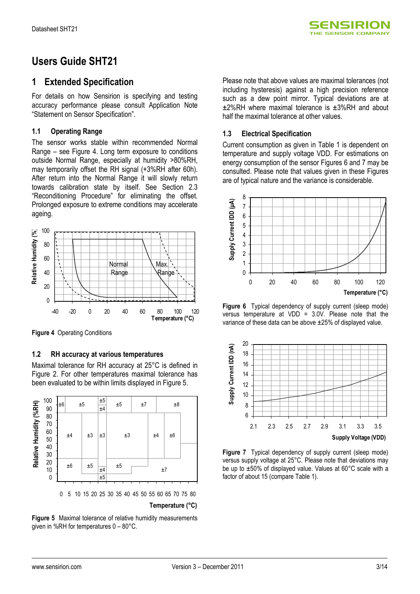

## **Users Guide SHT21**

### **1 Extended Specification**

For details on how Sensirion is specifying and testing accuracy performance please consult Application Note "Statement on Sensor Specification".

### **1.1 Operating Range**

The sensor works stable within recommended Normal Range – see Figure 4. Long term exposure to conditions outside Normal Range, especially at humidity >80%RH, may temporarily offset the RH signal (+3%RH after 60h). After return into the Normal Range it will slowly return towards calibration state by itself. See Section 2.3 "Reconditioning Procedure" for eliminating the offset. Prolonged exposure to extreme conditions may accelerate ageing.



**Figure 4** Operating Conditions

### **1.2 RH accuracy at various temperatures**

Maximal tolerance for RH accuracy at 25°C is defined in Figure 2. For other temperatures maximal tolerance has been evaluated to be within limits displayed in Figure 5.



0 5 10 15 20 25 30 35 40 45 50 55 60 65 70 75 80

**Temperature (°C)**

**Figure 5** Maximal tolerance of relative humidity measurements given in %RH for temperatures 0 – 80°C.

Please note that above values are maximal tolerances (not including hysteresis) against a high precision reference such as a dew point mirror. Typical deviations are at ±2%RH where maximal tolerance is ±3%RH and about half the maximal tolerance at other values.

### **1.3 Electrical Specification**

Current consumption as given in Table 1 is dependent on temperature and supply voltage VDD. For estimations on energy consumption of the sensor Figures 6 and 7 may be consulted. Please note that values given in these Figures are of typical nature and the variance is considerable.



**Figure 6** Typical dependency of supply current (sleep mode) versus temperature at VDD = 3.0V. Please note that the variance of these data can be above  $\pm 25\%$  of displayed value.



**Figure 7** Typical dependency of supply current (sleep mode) versus supply voltage at 25°C. Please note that deviations may be up to ±50% of displayed value. Values at 60°C scale with a factor of about 15 (compare Table 1).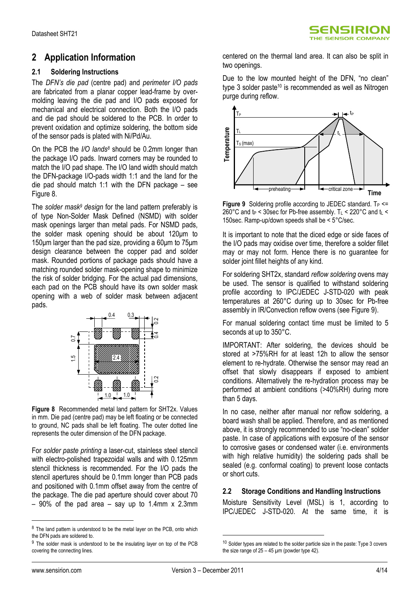### **2 Application Information**

### **2.1 Soldering Instructions**

The *DFN's die pad* (centre pad) and *perimeter I/O pads* are fabricated from a planar copper lead-frame by overmolding leaving the die pad and I/O pads exposed for mechanical and electrical connection. Both the I/O pads and die pad should be soldered to the PCB. In order to prevent oxidation and optimize soldering, the bottom side of the sensor pads is plated with Ni/Pd/Au.

On the PCB the *I/O lands<sup>8</sup>* should be 0.2mm longer than the package I/O pads. Inward corners may be rounded to match the I/O pad shape. The I/O land width should match the DFN-package I/O-pads width 1:1 and the land for the die pad should match 1:1 with the DFN package – see Figure 8.

The *solder mask<sup>9</sup> design* for the land pattern preferably is of type Non-Solder Mask Defined (NSMD) with solder mask openings larger than metal pads. For NSMD pads, the solder mask opening should be about 120µm to 150µm larger than the pad size, providing a 60µm to 75µm design clearance between the copper pad and solder mask. Rounded portions of package pads should have a matching rounded solder mask-opening shape to minimize the risk of solder bridging. For the actual pad dimensions, each pad on the PCB should have its own solder mask opening with a web of solder mask between adjacent pads.



**Figure 8** Recommended metal land pattern for SHT2x. Values in mm. Die pad (centre pad) may be left floating or be connected to ground, NC pads shall be left floating. The outer dotted line represents the outer dimension of the DFN package.

For *solder paste printing* a laser-cut, stainless steel stencil with electro-polished trapezoidal walls and with 0.125mm stencil thickness is recommended. For the I/O pads the stencil apertures should be 0.1mm longer than PCB pads and positioned with 0.1mm offset away from the centre of the package. The die pad aperture should cover about 70  $-90\%$  of the pad area  $-$  say up to 1.4mm x 2.3mm centered on the thermal land area. It can also be split in two openings.

Due to the low mounted height of the DFN, "no clean" type 3 solder paste<sup>10</sup> is recommended as well as Nitrogen purge during reflow.



**Figure 9** Soldering profile according to JEDEC standard. T<sub>P</sub> <= 260°C and  $t_P$  < 30sec for Pb-free assembly. T<sub>L</sub> < 220°C and  $t_L$  < 150sec. Ramp-up/down speeds shall be < 5°C/sec.

It is important to note that the diced edge or side faces of the I/O pads may oxidise over time, therefore a solder fillet may or may not form. Hence there is no guarantee for solder joint fillet heights of any kind.

For soldering SHT2x, standard *reflow soldering* ovens may be used. The sensor is qualified to withstand soldering profile according to IPC/JEDEC J-STD-020 with peak temperatures at 260°C during up to 30sec for Pb-free assembly in IR/Convection reflow ovens (see Figure 9).

For manual soldering contact time must be limited to 5 seconds at up to 350°C.

IMPORTANT: After soldering, the devices should be stored at >75%RH for at least 12h to allow the sensor element to re-hydrate. Otherwise the sensor may read an offset that slowly disappears if exposed to ambient conditions. Alternatively the re-hydration process may be performed at ambient conditions (>40%RH) during more than 5 days.

In no case, neither after manual nor reflow soldering, a board wash shall be applied. Therefore, and as mentioned above, it is strongly recommended to use "no-clean" solder paste. In case of applications with exposure of the sensor to corrosive gases or condensed water (i.e. environments with high relative humidity) the soldering pads shall be sealed (e.g. conformal coating) to prevent loose contacts or short cuts.

### **2.2 Storage Conditions and Handling Instructions**

Moisture Sensitivity Level (MSL) is 1, according to IPC/JEDEC J-STD-020. At the same time, it is

 $\overline{a}$ 

 $8$  The land pattern is understood to be the metal layer on the PCB, onto which the DFN pads are soldered to.

<sup>&</sup>lt;sup>9</sup> The solder mask is understood to be the insulating layer on top of the PCB covering the connecting lines.

 $10$  Solder types are related to the solder particle size in the paste: Type 3 covers the size range of  $25 - 45$  µm (powder type 42).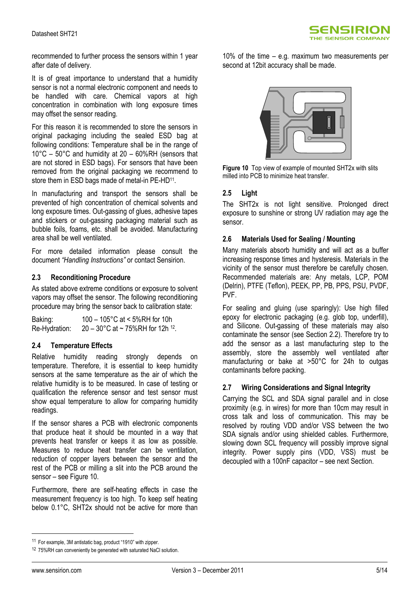

recommended to further process the sensors within 1 year after date of delivery.

It is of great importance to understand that a humidity sensor is not a normal electronic component and needs to be handled with care. Chemical vapors at high concentration in combination with long exposure times may offset the sensor reading.

For this reason it is recommended to store the sensors in original packaging including the sealed ESD bag at following conditions: Temperature shall be in the range of 10°C – 50°C and humidity at 20 – 60%RH (sensors that are not stored in ESD bags). For sensors that have been removed from the original packaging we recommend to store them in ESD bags made of metal-in PE-HD<sup>11</sup>.

In manufacturing and transport the sensors shall be prevented of high concentration of chemical solvents and long exposure times. Out-gassing of glues, adhesive tapes and stickers or out-gassing packaging material such as bubble foils, foams, etc. shall be avoided. Manufacturing area shall be well ventilated.

For more detailed information please consult the document *"Handling Instructions"* or contact Sensirion.

#### **2.3 Reconditioning Procedure**

As stated above extreme conditions or exposure to solvent vapors may offset the sensor. The following reconditioning procedure may bring the sensor back to calibration state:

Baking: 100 – 105°C at < 5%RH for 10h Re-Hydration:  $20-30^{\circ}$ C at ~ 75%RH for 12h <sup>12</sup>.

### **2.4 Temperature Effects**

Relative humidity reading strongly depends on temperature. Therefore, it is essential to keep humidity sensors at the same temperature as the air of which the relative humidity is to be measured. In case of testing or qualification the reference sensor and test sensor must show equal temperature to allow for comparing humidity readings.

If the sensor shares a PCB with electronic components that produce heat it should be mounted in a way that prevents heat transfer or keeps it as low as possible. Measures to reduce heat transfer can be ventilation, reduction of copper layers between the sensor and the rest of the PCB or milling a slit into the PCB around the sensor – see Figure 10.

Furthermore, there are self-heating effects in case the measurement frequency is too high. To keep self heating below 0.1°C, SHT2x should not be active for more than 10% of the time – e.g. maximum two measurements per second at 12bit accuracy shall be made.



**Figure 10** Top view of example of mounted SHT2x with slits milled into PCB to minimize heat transfer.

#### **2.5 Light**

The SHT2x is not light sensitive. Prolonged direct exposure to sunshine or strong UV radiation may age the sensor.

#### **2.6 Materials Used for Sealing / Mounting**

Many materials absorb humidity and will act as a buffer increasing response times and hysteresis. Materials in the vicinity of the sensor must therefore be carefully chosen. Recommended materials are: Any metals, LCP, POM (Delrin), PTFE (Teflon), PEEK, PP, PB, PPS, PSU, PVDF, PVF.

For sealing and gluing (use sparingly): Use high filled epoxy for electronic packaging (e.g. glob top, underfill), and Silicone. Out-gassing of these materials may also contaminate the sensor (see Section 2.2). Therefore try to add the sensor as a last manufacturing step to the assembly, store the assembly well ventilated after manufacturing or bake at >50°C for 24h to outgas contaminants before packing.

### **2.7 Wiring Considerations and Signal Integrity**

Carrying the SCL and SDA signal parallel and in close proximity (e.g. in wires) for more than 10cm may result in cross talk and loss of communication. This may be resolved by routing VDD and/or VSS between the two SDA signals and/or using shielded cables. Furthermore, slowing down SCL frequency will possibly improve signal integrity. Power supply pins (VDD, VSS) must be decoupled with a 100nF capacitor – see next Section.

<sup>&</sup>lt;sup>11</sup> For example, 3M antistatic bag, product "1910" with zipper.

<sup>12 75%</sup>RH can conveniently be generated with saturated NaCl solution.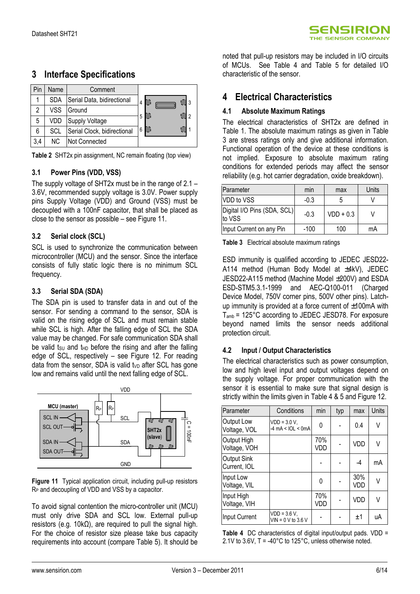| Pin | Name       | Comment                     |   |
|-----|------------|-----------------------------|---|
|     | <b>SDA</b> | Serial Data, bidirectional  | 4 |
| 2   | <b>VSS</b> | Ground                      |   |
| 5   | VDD        | Supply Voltage              | 5 |
| 6   | SCL        | Serial Clock, bidirectional | 6 |
| 3,4 | NC.        | Not Connected               |   |

**3 Interface Specifications** 

|  | Table 2 SHT2x pin assignment, NC remain floating (top view) |  |  |
|--|-------------------------------------------------------------|--|--|
|  |                                                             |  |  |

### **3.1 Power Pins (VDD, VSS)**

The supply voltage of SHT2x must be in the range of 2.1 – 3.6V, recommended supply voltage is 3.0V. Power supply pins Supply Voltage (VDD) and Ground (VSS) must be decoupled with a 100nF capacitor, that shall be placed as close to the sensor as possible – see Figure 11.

### **3.2 Serial clock (SCL)**

SCL is used to synchronize the communication between microcontroller (MCU) and the sensor. Since the interface consists of fully static logic there is no minimum SCL frequency.

### **3.3 Serial SDA (SDA)**

The SDA pin is used to transfer data in and out of the sensor. For sending a command to the sensor, SDA is valid on the rising edge of SCL and must remain stable while SCL is high. After the falling edge of SCL the SDA value may be changed. For safe communication SDA shall be valid  $t_{\text{SU}}$  and  $t_{\text{HD}}$  before the rising and after the falling edge of SCL, respectively – see Figure 12. For reading data from the sensor, SDA is valid  $t_{VD}$  after SCL has gone low and remains valid until the next falling edge of SCL.



**Figure 11** Typical application circuit, including pull-up resistors R<sub>P</sub> and decoupling of VDD and VSS by a capacitor.

To avoid signal contention the micro-controller unit (MCU) must only drive SDA and SCL low. External pull-up resistors (e.g. 10kΩ), are required to pull the signal high. For the choice of resistor size please take bus capacity requirements into account (compare Table 5). It should be

noted that pull-up resistors may be included in I/O circuits of MCUs. See Table 4 and Table 5 for detailed I/O characteristic of the sensor.

### **4 Electrical Characteristics**

### **4.1 Absolute Maximum Ratings**

The electrical characteristics of SHT2x are defined in Table 1. The absolute maximum ratings as given in Table 3 are stress ratings only and give additional information. Functional operation of the device at these conditions is not implied. Exposure to absolute maximum rating conditions for extended periods may affect the sensor reliability (e.g. hot carrier degradation, oxide breakdown).

| Parameter                             | min    | max         | Units |
|---------------------------------------|--------|-------------|-------|
| VDD to VSS                            | $-0.3$ |             |       |
| Digital I/O Pins (SDA, SCL)<br>to VSS | $-0.3$ | $VDD + 0.3$ |       |
| Input Current on any Pin              | $-100$ | 100         | mA    |

**Table 3** Electrical absolute maximum ratings

ESD immunity is qualified according to JEDEC JESD22- A114 method (Human Body Model at ±4kV), JEDEC JESD22-A115 method (Machine Model ±200V) and ESDA ESD-STM5.3.1-1999 and AEC-Q100-011 (Charged Device Model, 750V corner pins, 500V other pins). Latchup immunity is provided at a force current of  $\pm 100$ mA with Tamb = 125°C according to JEDEC JESD78. For exposure beyond named limits the sensor needs additional protection circuit.

### **4.2 Input / Output Characteristics**

The electrical characteristics such as power consumption, low and high level input and output voltages depend on the supply voltage. For proper communication with the sensor it is essential to make sure that signal design is strictly within the limits given in Table 4 & 5 and Figure 12.

| Parameter                   | Conditions                                                  | min        | typ | max        | Units |
|-----------------------------|-------------------------------------------------------------|------------|-----|------------|-------|
| Output Low<br>Voltage, VOL  | $VDD = 3.0 V,$<br>$-4 \text{ mA} < \text{IOL} < \text{0mA}$ | 0          |     | 0.4        | V     |
| Output High<br>Voltage, VOH |                                                             | 70%<br>VDD |     | VDD        | V     |
| Output Sink<br>Current, IOL |                                                             |            |     | $-4$       | mA    |
| Input Low<br>Voltage, VIL   |                                                             | 0          |     | 30%<br>VDD | V     |
| Input High<br>Voltage, VIH  |                                                             | 70%<br>VDD |     | VDD        | V     |
| Input Current               | $VDD = 3.6 V,$<br>$VIN = 0 V to 3.6 V$                      |            |     | $+1$       | иA    |

**Table 4** DC characteristics of digital input/output pads. VDD = 2.1V to 3.6V, T = -40°C to 125°C, unless otherwise noted.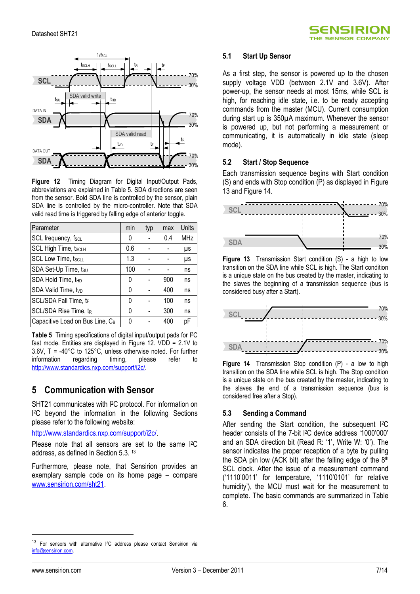

**Figure 12** Timing Diagram for Digital Input/Output Pads, abbreviations are explained in Table 5. SDA directions are seen from the sensor. Bold SDA line is controlled by the sensor, plain SDA line is controlled by the micro-controller. Note that SDA valid read time is triggered by falling edge of anterior toggle.

| Parameter                         | min | typ | max | <b>Units</b> |
|-----------------------------------|-----|-----|-----|--------------|
| SCL frequency, fscL               | 0   |     | 0.4 | <b>MHz</b>   |
| <b>SCL High Time, tscLH</b>       | 0.6 |     |     | μs           |
| <b>SCL Low Time, tscLL</b>        | 1.3 |     |     | μs           |
| SDA Set-Up Time, tsu              | 100 |     |     | ns           |
| SDA Hold Time, the                | 0   |     | 900 | ns           |
| SDA Valid Time, tvp               | 0   |     | 400 | ns           |
| SCL/SDA Fall Time, tr             | 0   |     | 100 | ns           |
| SCL/SDA Rise Time, t <sub>R</sub> | 0   |     | 300 | ns           |
| Capacitive Load on Bus Line, CB   | N   |     | 400 | рF           |

**Table 5** Timing specifications of digital input/output pads for I2C fast mode. Entities are displayed in Figure 12. VDD = 2.1V to 3.6V, T = -40°C to 125°C, unless otherwise noted. For further information regarding timing, please refer to http://www.standardics.nxp.com/support/i2c/.

## **5 Communication with Sensor**

SHT21 communicates with I<sup>2</sup>C protocol. For information on I <sup>2</sup>C beyond the information in the following Sections please refer to the following website:

http://www.standardics.nxp.com/support/i2c/.

Please note that all sensors are set to the same I<sup>2</sup>C address, as defined in Section 5.3. <sup>13</sup>

Furthermore, please note, that Sensirion provides an exemplary sample code on its home page – compare www.sensirion.com/sht21.

#### **5.1 Start Up Sensor**

As a first step, the sensor is powered up to the chosen supply voltage VDD (between 2.1V and 3.6V). After power-up, the sensor needs at most 15ms, while SCL is high, for reaching idle state, i.e. to be ready accepting commands from the master (MCU). Current consumption during start up is 350µA maximum. Whenever the sensor is powered up, but not performing a measurement or communicating, it is automatically in idle state (sleep mode).

**SENSIRION** HE SENSOR COMPANY

### **5.2 Start / Stop Sequence**

Each transmission sequence begins with Start condition (S) and ends with Stop condition (P) as displayed in Figure 13 and Figure 14.



**Figure 13** Transmission Start condition (S) - a high to low transition on the SDA line while SCL is high. The Start condition is a unique state on the bus created by the master, indicating to the slaves the beginning of a transmission sequence (bus is considered busy after a Start).



**Figure 14** Transmission Stop condition (P) - a low to high transition on the SDA line while SCL is high. The Stop condition is a unique state on the bus created by the master, indicating to the slaves the end of a transmission sequence (bus is considered free after a Stop).

### **5.3 Sending a Command**

After sending the Start condition, the subsequent I<sup>2</sup>C header consists of the 7-bit I<sup>2</sup>C device address '1000'000' and an SDA direction bit (Read R: '1', Write W: '0'). The sensor indicates the proper reception of a byte by pulling the SDA pin low (ACK bit) after the falling edge of the  $8<sup>th</sup>$ SCL clock. After the issue of a measurement command ('1110'0011' for temperature, '1110'0101' for relative humidity'), the MCU must wait for the measurement to complete. The basic commands are summarized in Table 6.

For sensors with alternative I<sup>2</sup>C address please contact Sensirion via info@sensirion.com.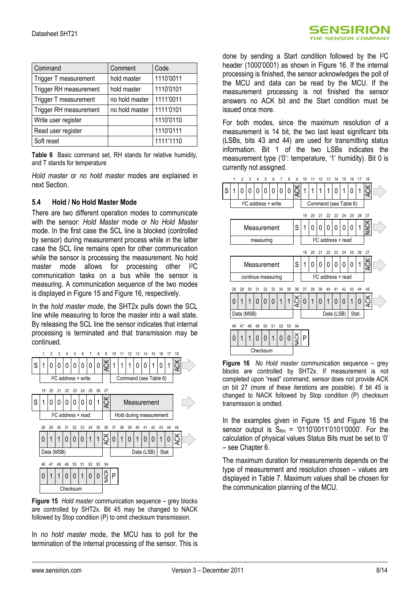| Command                | Comment        | Code      |
|------------------------|----------------|-----------|
| Trigger T measurement  | hold master    | 1110'0011 |
| Trigger RH measurement | hold master    | 1110'0101 |
| Trigger T measurement  | no hold master | 1111'0011 |
| Trigger RH measurement | no hold master | 1111'0101 |
| Write user register    |                | 1110'0110 |
| Read user register     |                | 1110'0111 |
| Soft reset             |                | 1111'1110 |

**Table 6** Basic command set, RH stands for relative humidity, and T stands for temperature

*Hold master* or *no hold master* modes are explained in next Section.

### **5.4 Hold / No Hold Master Mode**

There are two different operation modes to communicate with the sensor: *Hold Master* mode or *No Hold Master* mode. In the first case the SCL line is blocked (controlled by sensor) during measurement process while in the latter case the SCL line remains open for other communication while the sensor is processing the measurement. No hold master mode allows for processing other I<sup>2</sup>C communication tasks on a bus while the sensor is measuring. A communication sequence of the two modes is displayed in Figure 15 and Figure 16, respectively.

In the *hold master mode*, the SHT2x pulls down the SCL line while measuring to force the master into a wait state. By releasing the SCL line the sensor indicates that internal processing is terminated and that transmission may be continued.



**Figure 15** *Hold master* communication sequence – grey blocks are controlled by SHT2x. Bit 45 may be changed to NACK followed by Stop condition (P) to omit checksum transmission.

In *no hold master* mode, the MCU has to poll for the termination of the internal processing of the sensor. This is done by sending a Start condition followed by the I2C header (1000'0001) as shown in Figure 16. If the internal processing is finished, the sensor acknowledges the poll of the MCU and data can be read by the MCU. If the measurement processing is not finished the sensor answers no ACK bit and the Start condition must be issued once more.

For both modes, since the maximum resolution of a measurement is 14 bit, the two last least significant bits (LSBs, bits 43 and 44) are used for transmitting status information. Bit 1 of the two LSBs indicates the measurement type ('0': temperature, '1' humidity). Bit 0 is currently not assigned.



**Figure 16** *No Hold master* communication sequence – grey blocks are controlled by SHT2x. If measurement is not completed upon "read" command, sensor does not provide ACK on bit 27 (more of these iterations are possible). If bit 45 is changed to NACK followed by Stop condition (P) checksum transmission is omitted.

In the examples given in Figure 15 and Figure 16 the sensor output is  $S_{RH} = '0110'0011'0101'0000'$ . For the calculation of physical values Status Bits must be set to '0' – see Chapter 6.

The maximum duration for measurements depends on the type of measurement and resolution chosen – values are displayed in Table 7. Maximum values shall be chosen for the communication planning of the MCU.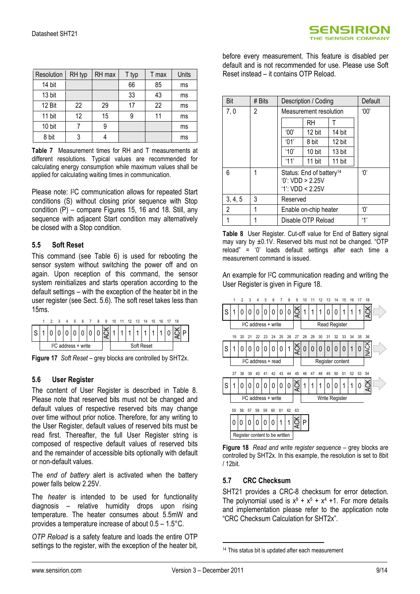| Resolution | RH typ | RH max | T typ | T max | Units |
|------------|--------|--------|-------|-------|-------|
| 14 bit     |        |        | 66    | 85    | ms    |
| 13 bit     |        |        | 33    | 43    | ms    |
| 12 Bit     | 22     | 29     | 17    | 22    | ms    |
| 11 bit     | 12     | 15     |       | 11    | ms    |
| 10 bit     |        | 9      |       |       | ms    |
| 8 bit      |        |        |       |       | ms    |

**Table 7** Measurement times for RH and T measurements at different resolutions. Typical values are recommended for calculating energy consumption while maximum values shall be applied for calculating waiting times in communication.

Please note: I<sup>2</sup>C communication allows for repeated Start conditions (S) without closing prior sequence with Stop condition (P) – compare Figures 15, 16 and 18. Still, any sequence with adjacent Start condition may alternatively be closed with a Stop condition.

### **5.5 Soft Reset**

This command (see Table 6) is used for rebooting the sensor system without switching the power off and on again. Upon reception of this command, the sensor system reinitializes and starts operation according to the default settings – with the exception of the heater bit in the user register (see Sect. 5.6). The soft reset takes less than 15ms.



**Figure 17** *Soft Reset* – grey blocks are controlled by SHT2x.

### **5.6 User Register**

The content of User Register is described in Table 8. Please note that reserved bits must not be changed and default values of respective reserved bits may change over time without prior notice. Therefore, for any writing to the User Register, default values of reserved bits must be read first. Thereafter, the full User Register string is composed of respective default values of reserved bits and the remainder of accessible bits optionally with default or non-default values.

The *end of battery* alert is activated when the battery power falls below 2.25V.

The *heater* is intended to be used for functionality diagnosis – relative humidity drops upon rising temperature. The heater consumes about 5.5mW and provides a temperature increase of about 0.5 – 1.5°C.

*OTP Reload* is a safety feature and loads the entire OTP settings to the register, with the exception of the heater bit, before every measurement. This feature is disabled per default and is not recommended for use. Please use Soft Reset instead – it contains OTP Reload.

| Bit     | # Bits | Description / Coding                                                        | Default                |        |                |
|---------|--------|-----------------------------------------------------------------------------|------------------------|--------|----------------|
| 7,0     | 2      |                                                                             | Measurement resolution |        | 00'            |
|         |        |                                                                             | RH                     |        |                |
|         |        | '00'                                                                        | 12 bit                 | 14 bit |                |
|         |        | '01'                                                                        | 8 bit                  | 12 bit |                |
|         |        | '10'                                                                        | 10 bit                 | 13 bit |                |
|         |        | '11'                                                                        | 11 bit                 | 11 bit |                |
| 6       | 1      | Status: End of battery <sup>14</sup><br>$0$ : VDD > 2.25V<br>1: VDD < 2.25V | 'በ'                    |        |                |
| 3, 4, 5 | 3      | Reserved                                                                    |                        |        |                |
| 2       | 1      | Enable on-chip heater                                                       | 'በ'                    |        |                |
|         | 1      |                                                                             | Disable OTP Reload     |        | 4 <sup>1</sup> |

**Table 8** User Register. Cut-off value for End of Battery signal may vary by  $\pm 0.1V$ . Reserved bits must not be changed. "OTP reload" = '0' loads default settings after each time a measurement command is issued.

An example for I2C communication reading and writing the User Register is given in Figure 18.



**Figure 18** *Read and write register sequence* – grey blocks are controlled by SHT2x. In this example, the resolution is set to 8bit / 12bit.

### **5.7 CRC Checksum**

SHT21 provides a CRC-8 checksum for error detection. The polynomial used is  $x^8 + x^5 + x^4 + 1$ . For more details and implementation please refer to the application note "CRC Checksum Calculation for SHT2x".

<sup>14</sup> This status bit is updated after each measurement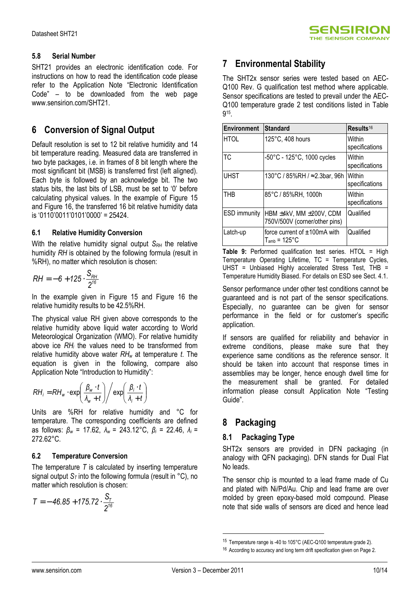### **5.8 Serial Number**

SHT21 provides an electronic identification code. For instructions on how to read the identification code please refer to the Application Note "Electronic Identification Code" – to be downloaded from the web page www.sensirion.com/SHT21.

## **6 Conversion of Signal Output**

Default resolution is set to 12 bit relative humidity and 14 bit temperature reading. Measured data are transferred in two byte packages, i.e. in frames of 8 bit length where the most significant bit (MSB) is transferred first (left aligned). Each byte is followed by an acknowledge bit. The two status bits, the last bits of LSB, must be set to '0' before calculating physical values. In the example of Figure 15 and Figure 16, the transferred 16 bit relative humidity data is '0110'0011'0101'0000' = 25424.

### **6.1 Relative Humidity Conversion**

With the relative humidity signal output *S<sub>RH</sub>* the relative humidity *RH* is obtained by the following formula (result in %RH), no matter which resolution is chosen:

$$
RH = -6 + 125 \cdot \frac{S_{RH}}{2^{16}}
$$

In the example given in Figure 15 and Figure 16 the relative humidity results to be 42.5%RH.

The physical value RH given above corresponds to the relative humidity above liquid water according to World Meteorological Organization (WMO). For relative humidity above ice *RH<sup>i</sup>* the values need to be transformed from relative humidity above water *RHw* at temperature *t*. The equation is given in the following, compare also Application Note "Introduction to Humidity":

$$
RH_i = RH_w \cdot \exp\left(\frac{\beta_w \cdot t}{\lambda_w + t}\right) / \exp\left(\frac{\beta_i \cdot t}{\lambda_i + t}\right)
$$

Units are %RH for relative humidity and °C for temperature. The corresponding coefficients are defined as follows: *βw* = 17.62, *λ<sup>w</sup>* = 243.12°C, *βi* = 22.46, *λ<sup>i</sup>* = 272.62°C.

### **6.2 Temperature Conversion**

The temperature *T* is calculated by inserting temperature signal output  $S_T$  into the following formula (result in  $°C$ ), no matter which resolution is chosen:

$$
T = -46.85 + 175.72 \cdot \frac{S_T}{2^{16}}
$$

## **7 Environmental Stability**

The SHT2x sensor series were tested based on AEC-Q100 Rev. G qualification test method where applicable. Sensor specifications are tested to prevail under the AEC-Q100 temperature grade 2 test conditions listed in Table 9 15 .

| <b>Environment</b>  | <b>Standard</b>                                                     | Results <sup>16</sup>    |
|---------------------|---------------------------------------------------------------------|--------------------------|
| <b>HTOL</b>         | 125°C, 408 hours                                                    | Within<br>specifications |
| TC.                 | -50°C - 125°C, 1000 cycles                                          | Within<br>specifications |
| <b>UHST</b>         | 130°C / 85%RH / ≈2.3bar, 96h                                        | Within<br>specifications |
| THB                 | 85°C / 85%RH, 1000h                                                 | Within<br>specifications |
| <b>ESD</b> immunity | HBM ±4kV, MM ±200V, CDM<br>750V/500V (corner/other pins)            | Qualified                |
| Latch-up            | force current of ±100mA with<br>$\mathsf{T}_{\mathsf{amb}}$ = 125°C | Qualified                |

**Table 9:** Performed qualification test series. HTOL = High Temperature Operating Lifetime, TC = Temperature Cycles, UHST = Unbiased Highly accelerated Stress Test. THB = Temperature Humidity Biased. For details on ESD see Sect. 4.1.

Sensor performance under other test conditions cannot be guaranteed and is not part of the sensor specifications. Especially, no guarantee can be given for sensor performance in the field or for customer's specific application.

If sensors are qualified for reliability and behavior in extreme conditions, please make sure that they experience same conditions as the reference sensor. It should be taken into account that response times in assemblies may be longer, hence enough dwell time for the measurement shall be granted. For detailed information please consult Application Note "Testing Guide".

## **8 Packaging**

### **8.1 Packaging Type**

SHT2x sensors are provided in DFN packaging (in analogy with QFN packaging). DFN stands for Dual Flat No leads.

The sensor chip is mounted to a lead frame made of Cu and plated with Ni/Pd/Au. Chip and lead frame are over molded by green epoxy-based mold compound. Please note that side walls of sensors are diced and hence lead

<sup>&</sup>lt;sup>15</sup> Temperature range is -40 to 105°C (AEC-Q100 temperature grade 2).

<sup>&</sup>lt;sup>16</sup> According to accuracy and long term drift specification given on Page 2.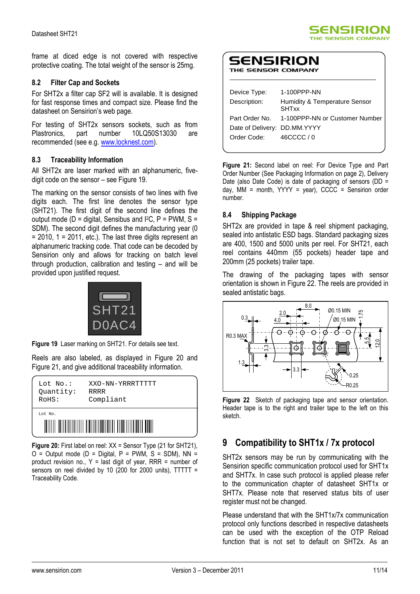frame at diced edge is not covered with respective protective coating. The total weight of the sensor is 25mg.

### **8.2 Filter Cap and Sockets**

For SHT2x a filter cap SF2 will is available. It is designed for fast response times and compact size. Please find the datasheet on Sensirion's web page.

For testing of SHT2x sensors sockets, such as from Plastronics, part number 10LQ50S13030 are recommended (see e.g. www.locknest.com).

### **8.3 Traceability Information**

All SHT2x are laser marked with an alphanumeric, fivedigit code on the sensor – see Figure 19.

The marking on the sensor consists of two lines with five digits each. The first line denotes the sensor type (SHT21). The first digit of the second line defines the output mode ( $D =$  digital, Sensibus and I<sup>2</sup>C,  $P =$  PWM, S = SDM). The second digit defines the manufacturing year (0  $= 2010$ ,  $1 = 2011$ , etc.). The last three digits represent an alphanumeric tracking code. That code can be decoded by Sensirion only and allows for tracking on batch level through production, calibration and testing – and will be provided upon justified request.



**Figure 19** Laser marking on SHT21. For details see text.

Reels are also labeled, as displayed in Figure 20 and Figure 21, and give additional traceability information.

| Lot No.                        |                                              |  |  |  |  |
|--------------------------------|----------------------------------------------|--|--|--|--|
| Lot No.:<br>Ouantity:<br>RoHS: | XXO-NN-YRRRTTTTT<br><b>RRRR</b><br>Compliant |  |  |  |  |

**Figure 20:** First label on reel: XX = Sensor Type (21 for SHT21).  $O =$  Output mode (D = Digital, P = PWM, S = SDM), NN = product revision no.,  $Y =$  last digit of year, RRR = number of sensors on reel divided by 10 (200 for 2000 units), TTTTT = Traceability Code.



## SENSIRION

|  |  | THE SENSOR COMPANY |
|--|--|--------------------|
|--|--|--------------------|

| Device Type:                 | 1-100PPP-NN                                   |
|------------------------------|-----------------------------------------------|
| Description:                 | Humidity & Temperature Sensor<br><b>SHTxx</b> |
| Part Order No.               | 1-100PPP-NN or Customer Number                |
| Date of Delivery: DD.MM.YYYY |                                               |
| Order Code:                  | 46CCCC / 0                                    |
|                              |                                               |

**Figure 21:** Second label on reel: For Device Type and Part Order Number (See Packaging Information on page 2), Delivery Date (also Date Code) is date of packaging of sensors (DD = day,  $MM =$  month,  $YYY =$  year),  $CCC =$  Sensirion order number.

### **8.4 Shipping Package**

SHT2x are provided in tape & reel shipment packaging, sealed into antistatic ESD bags. Standard packaging sizes are 400, 1500 and 5000 units per reel. For SHT21, each reel contains 440mm (55 pockets) header tape and 200mm (25 pockets) trailer tape.

The drawing of the packaging tapes with sensor orientation is shown in Figure 22. The reels are provided in sealed antistatic bags.



**Figure 22** Sketch of packaging tape and sensor orientation. Header tape is to the right and trailer tape to the left on this sketch.

## **9 Compatibility to SHT1x / 7x protocol**

SHT2x sensors may be run by communicating with the Sensirion specific communication protocol used for SHT1x and SHT7x. In case such protocol is applied please refer to the communication chapter of datasheet SHT1x or SHT7x. Please note that reserved status bits of user register must not be changed.

Please understand that with the SHT1x/7x communication protocol only functions described in respective datasheets can be used with the exception of the OTP Reload function that is not set to default on SHT2x. As an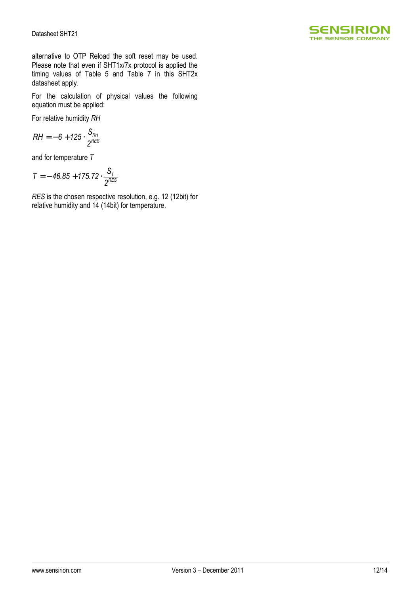

alternative to OTP Reload the soft reset may be used. Please note that even if SHT1x/7x protocol is applied the timing values of Table 5 and Table 7 in this SHT2x datasheet apply.

For the calculation of physical values the following equation must be applied:

For relative humidity *RH*

$$
RH=-6+125\cdot\frac{S_{RH}}{2^{RES}}
$$

and for temperature *T*

$$
T = -46.85 + 175.72 \cdot \frac{S_T}{2^{RES}}
$$

*RES* is the chosen respective resolution, e.g. 12 (12bit) for relative humidity and 14 (14bit) for temperature.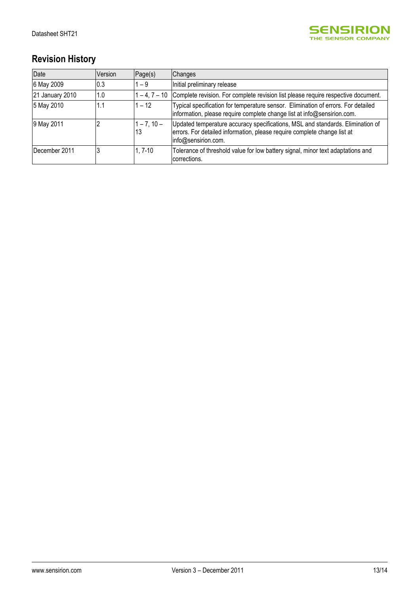

# **Revision History**

| Date            | Version | Page(s)                | Changes                                                                                                                                                                           |
|-----------------|---------|------------------------|-----------------------------------------------------------------------------------------------------------------------------------------------------------------------------------|
| 6 May 2009      | 0.3     | $1 - 9$                | Initial preliminary release                                                                                                                                                       |
| 21 January 2010 | 1.0     | $-4, 7 - 10$           | Complete revision. For complete revision list please require respective document.                                                                                                 |
| 5 May 2010      | 1.1     | $1 - 12$               | Typical specification for temperature sensor. Elimination of errors. For detailed<br>information, please require complete change list at info@sensirion.com.                      |
| 9 May 2011      |         | $1 - 7$ , $10 -$<br>13 | Updated temperature accuracy specifications, MSL and standards. Elimination of<br>errors. For detailed information, please require complete change list at<br>info@sensirion.com. |
| December 2011   |         | 1, 7-10                | Tolerance of threshold value for low battery signal, minor text adaptations and<br>corrections.                                                                                   |